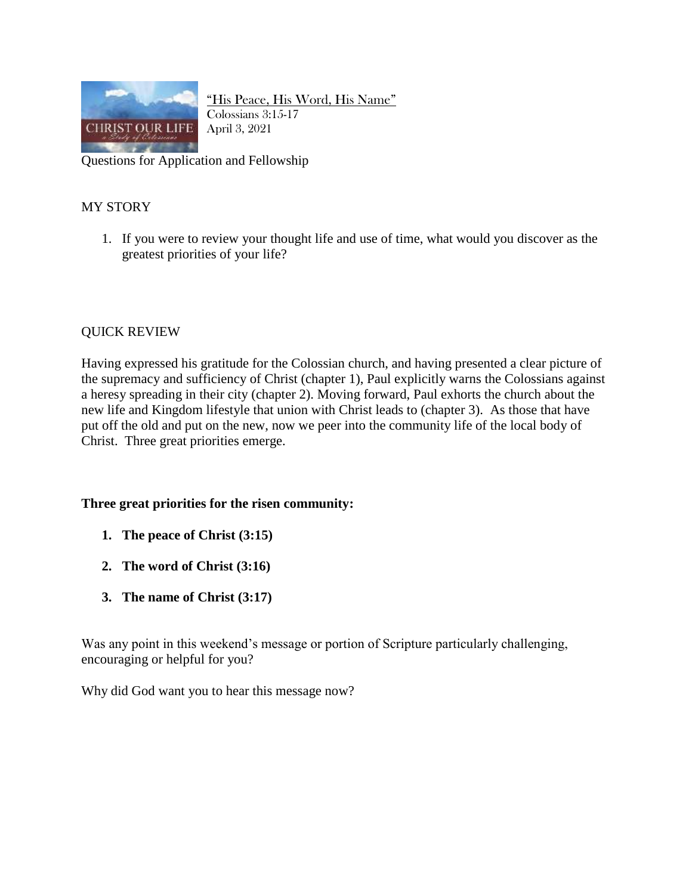

"His Peace, His Word, His Name" Colossians 3:15-17 April 3, 2021

Questions for Application and Fellowship

## MY STORY

1. If you were to review your thought life and use of time, what would you discover as the greatest priorities of your life?

## QUICK REVIEW

Having expressed his gratitude for the Colossian church, and having presented a clear picture of the supremacy and sufficiency of Christ (chapter 1), Paul explicitly warns the Colossians against a heresy spreading in their city (chapter 2). Moving forward, Paul exhorts the church about the new life and Kingdom lifestyle that union with Christ leads to (chapter 3). As those that have put off the old and put on the new, now we peer into the community life of the local body of Christ. Three great priorities emerge.

## **Three great priorities for the risen community:**

- **1. The peace of Christ (3:15)**
- **2. The word of Christ (3:16)**
- **3. The name of Christ (3:17)**

Was any point in this weekend's message or portion of Scripture particularly challenging, encouraging or helpful for you?

Why did God want you to hear this message now?